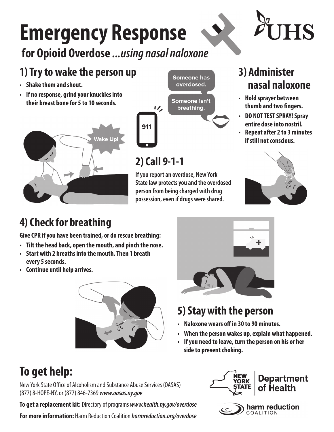## **Emergency Response**

#### **for Opioid Overdose** *...using nasal naloxone*

### **1) Try to wake the person up**

- **Shake them and shout.**
- **• If no response, grind your knuckles into their breast bone for 5 to 10 seconds.**





#### **2) Call 9-1-1**

**If you report an overdose, New York State law protects you and the overdosed person from being charged with drug possession, even if drugs were shared.**

#### **3) Administer nasal naloxone**

- **Hold sprayer between thumb and two fingers.**
- **• DO NOT TEST SPRAY! Spray entire dose into nostril.**
- **• Repeat after 2 to 3 minutes if still not conscious.**



#### **4) Check for breathing**

**Give CPR if you have been trained, or do rescue breathing:**

- **• Tilt the head back, open the mouth, and pinch the nose.**
- **• Start with 2 breaths into the mouth. Then 1 breath every 5 seconds.**
- **• Continue until help arrives.**





#### **5) Stay with the person**

- **Naloxone wears off in 30 to 90 minutes.**
- **• When the person wakes up, explain what happened.**
- **• If you need to leave, turn the person on his or her side to prevent choking.**

## **To get help:**

New York State Office of Alcoholism and Substance Abuse Services (OASAS) (877) 8-HOPE-NY, or (877) 846-7369 *www.oasas.ny.gov*

**To get a replacement kit:** Directory of programs *www.health.ny.gov/overdose*

**For more information:** Harm Reduction Coalition *harmreduction.org/overdose*



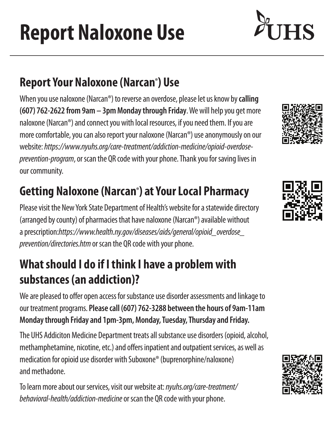**Report Naloxone Use**

## **Report Your Naloxone (Narcan®) Use**

When you use naloxone (Narcan®) to reverse an overdose, please let us know by **calling (607) 762-2622 from 9am – 3pm Monday through Friday**. We will help you get more naloxone (Narcan®) and connect you with local resources, if you need them. If you are more comfortable, you can also report your naloxone (Narcan®) use anonymously on our website: *https://www.nyuhs.org/care-treatment/addiction-medicine/opioid-overdoseprevention-program*, or scan the QR code with your phone. Thank you for saving lives in our community.

## **Getting Naloxone (Narcan®) at Your Local Pharmacy**

Please visit the New York State Department of Health's website for a statewide directory (arranged by county) of pharmacies that have naloxone (Narcan®) available without a prescription:*https://www.health.ny.gov/diseases/aids/general/opioid\_overdose\_ prevention/directories.htm* or scan the QR code with your phone.

### **What should I do if I think I have a problem with substances (an addiction)?**

We are pleased to offer open access for substance use disorder assessments and linkage to our treatment programs. **Please call (607) 762-3288 between the hours of 9am-11am Monday through Friday and 1pm-3pm, Monday, Tuesday, Thursday and Friday.**

The UHS Addiciton Medicine Department treats all substance use disorders (opioid, alcohol, methamphetamine, nicotine, etc.) and offers inpatient and outpatient services, as well as medication for opioid use disorder with Suboxone® (buprenorphine/naloxone) and methadone.

To learn more about our services, visit our website at: *nyuhs.org/care-treatment/ behavioral-health/addiction-medicine* or scan the QR code with your phone.